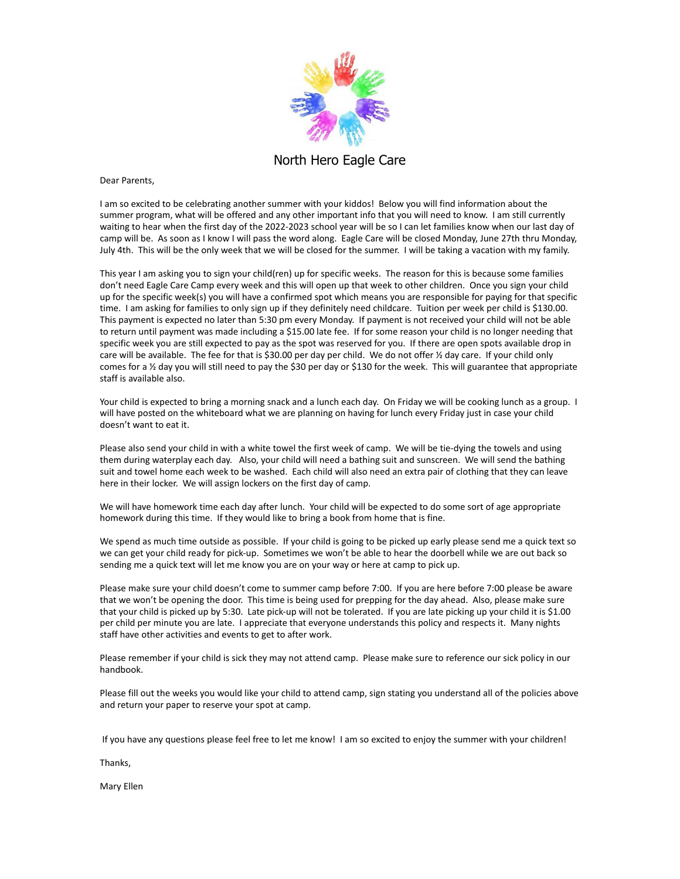

North Hero Eagle Care

Dear Parents,

I am so excited to be celebrating another summer with your kiddos! Below you will find information about the summer program, what will be offered and any other important info that you will need to know. I am still currently waiting to hear when the first day of the 2022-2023 school year will be so I can let families know when our last day of camp will be. As soon as I know I will pass the word along. Eagle Care will be closed Monday, June 27th thru Monday, July 4th. This will be the only week that we will be closed for the summer. I will be taking a vacation with my family.

This year I am asking you to sign your child(ren) up for specific weeks. The reason for this is because some families don't need Eagle Care Camp every week and this will open up that week to other children. Once you sign your child up for the specific week(s) you will have a confirmed spot which means you are responsible for paying for that specific time. I am asking for families to only sign up if they definitely need childcare. Tuition per week per child is \$130.00. This payment is expected no later than 5:30 pm every Monday. If payment is not received your child will not be able to return until payment was made including a \$15.00 late fee. If for some reason your child is no longer needing that specific week you are still expected to pay as the spot was reserved for you. If there are open spots available drop in care will be available. The fee for that is \$30.00 per day per child. We do not offer 1/2 day care. If your child only comes for a ½ day you will still need to pay the \$30 per day or \$130 for the week. This will guarantee that appropriate staff is available also.

Your child is expected to bring a morning snack and a lunch each day. On Friday we will be cooking lunch as a group. I will have posted on the whiteboard what we are planning on having for lunch every Friday just in case your child doesn't want to eat it.

Please also send your child in with a white towel the first week of camp. We will be tie-dying the towels and using them during waterplay each day. Also, your child will need a bathing suit and sunscreen. We will send the bathing suit and towel home each week to be washed. Each child will also need an extra pair of clothing that they can leave here in their locker. We will assign lockers on the first day of camp.

We will have homework time each day after lunch. Your child will be expected to do some sort of age appropriate homework during this time. If they would like to bring a book from home that is fine.

We spend as much time outside as possible. If your child is going to be picked up early please send me a quick text so we can get your child ready for pick-up. Sometimes we won't be able to hear the doorbell while we are out back so sending me a quick text will let me know you are on your way or here at camp to pick up.

Please make sure your child doesn't come to summer camp before 7:00. If you are here before 7:00 please be aware that we won't be opening the door. This time is being used for prepping for the day ahead. Also, please make sure that your child is picked up by 5:30. Late pick-up will not be tolerated. If you are late picking up your child it is \$1.00 per child per minute you are late. I appreciate that everyone understands this policy and respects it. Many nights staff have other activities and events to get to after work.

Please remember if your child is sick they may not attend camp. Please make sure to reference our sick policy in our handbook.

Please fill out the weeks you would like your child to attend camp, sign stating you understand all of the policies above and return your paper to reserve your spot at camp.

If you have any questions please feel free to let me know! I am so excited to enjoy the summer with your children!

Thanks,

Mary Ellen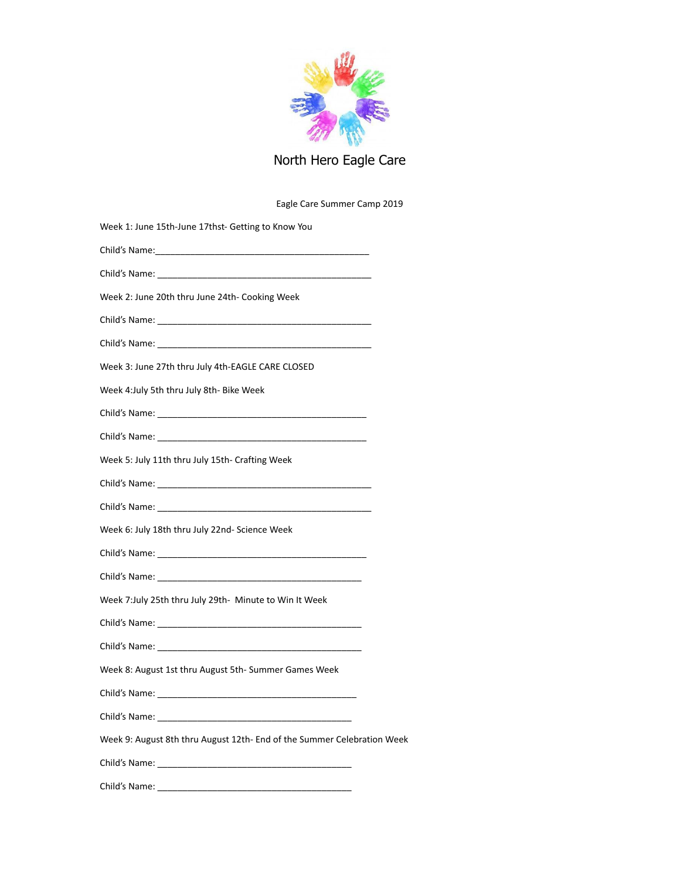

## North Hero Eagle Care

## Eagle Care Summer Camp 2019

| Week 1: June 15th-June 17thst- Getting to Know You                            |
|-------------------------------------------------------------------------------|
|                                                                               |
|                                                                               |
| Week 2: June 20th thru June 24th- Cooking Week                                |
|                                                                               |
|                                                                               |
| Week 3: June 27th thru July 4th-EAGLE CARE CLOSED                             |
| Week 4: July 5th thru July 8th- Bike Week                                     |
|                                                                               |
|                                                                               |
| Week 5: July 11th thru July 15th- Crafting Week                               |
|                                                                               |
|                                                                               |
| Week 6: July 18th thru July 22nd- Science Week                                |
| Child's Name: The Child's Name: The Child's Name: The Child's Name: The Child |
| Child's Name: The Child's Name: The Child's Name: The Child's Name: The Child |
| Week 7:July 25th thru July 29th- Minute to Win It Week                        |
|                                                                               |
|                                                                               |
| Week 8: August 1st thru August 5th-Summer Games Week                          |
|                                                                               |
|                                                                               |
| Week 9: August 8th thru August 12th- End of the Summer Celebration Week       |
|                                                                               |
|                                                                               |